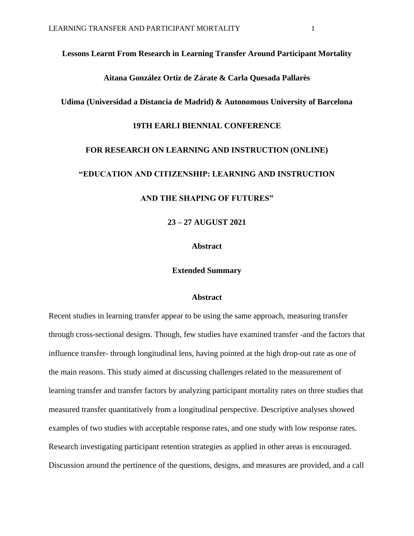#### **Lessons Learnt From Research in Learning Transfer Around Participant Mortality**

## **Aitana González Ortiz de Zárate & Carla Quesada Pallarès**

## **Udima (Universidad a Distancia de Madrid) & Autonomous University of Barcelona**

### **19TH EARLI BIENNIAL CONFERENCE**

### **FOR RESEARCH ON LEARNING AND INSTRUCTION (ONLINE)**

#### **"EDUCATION AND CITIZENSHIP: LEARNING AND INSTRUCTION**

## **AND THE SHAPING OF FUTURES"**

**23 – 27 AUGUST 2021**

## **Abstract**

#### **Extended Summary**

### **Abstract**

Recent studies in learning transfer appear to be using the same approach, measuring transfer through cross-sectional designs. Though, few studies have examined transfer -and the factors that influence transfer- through longitudinal lens, having pointed at the high drop-out rate as one of the main reasons. This study aimed at discussing challenges related to the measurement of learning transfer and transfer factors by analyzing participant mortality rates on three studies that measured transfer quantitatively from a longitudinal perspective. Descriptive analyses showed examples of two studies with acceptable response rates, and one study with low response rates. Research investigating participant retention strategies as applied in other areas is encouraged. Discussion around the pertinence of the questions, designs, and measures are provided, and a call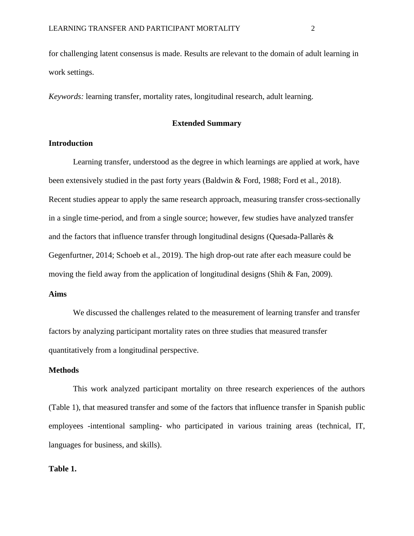for challenging latent consensus is made. Results are relevant to the domain of adult learning in work settings.

*Keywords:* learning transfer, mortality rates, longitudinal research, adult learning.

# **Extended Summary**

# **Introduction**

Learning transfer, understood as the degree in which learnings are applied at work, have been extensively studied in the past forty years (Baldwin & Ford, 1988; Ford et al., 2018). Recent studies appear to apply the same research approach, measuring transfer cross-sectionally in a single time-period, and from a single source; however, few studies have analyzed transfer and the factors that influence transfer through longitudinal designs (Quesada-Pallarès & Gegenfurtner, 2014; Schoeb et al., 2019). The high drop-out rate after each measure could be moving the field away from the application of longitudinal designs (Shih & Fan, 2009).

# **Aims**

We discussed the challenges related to the measurement of learning transfer and transfer factors by analyzing participant mortality rates on three studies that measured transfer quantitatively from a longitudinal perspective.

## **Methods**

This work analyzed participant mortality on three research experiences of the authors (Table 1), that measured transfer and some of the factors that influence transfer in Spanish public employees -intentional sampling- who participated in various training areas (technical, IT, languages for business, and skills).

# **Table 1.**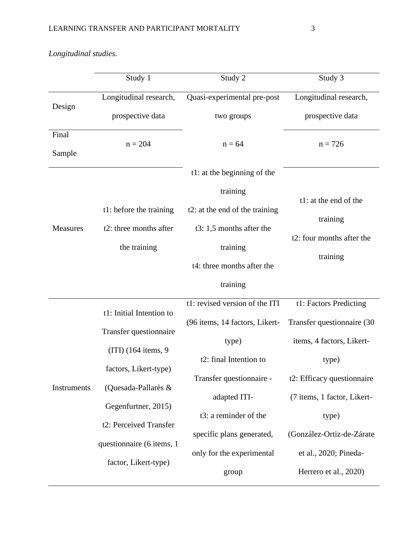|                 | Study 1                   | Study 2                        | Study 3                               |  |
|-----------------|---------------------------|--------------------------------|---------------------------------------|--|
| Design          | Longitudinal research,    | Quasi-experimental pre-post    | Longitudinal research,                |  |
|                 | prospective data          | two groups                     | prospective data                      |  |
| Final           | $n = 204$                 | $n = 64$                       | $n = 726$                             |  |
| Sample          |                           |                                |                                       |  |
| <b>Measures</b> |                           | t1: at the beginning of the    |                                       |  |
|                 |                           | training                       | t1: at the end of the                 |  |
|                 | t1: before the training   | t2: at the end of the training |                                       |  |
|                 | t2: three months after    | t3: $1,5$ months after the     | training<br>t2: four months after the |  |
|                 | the training              | training                       |                                       |  |
|                 |                           |                                | training                              |  |
|                 |                           | t4: three months after the     |                                       |  |
|                 |                           | training                       |                                       |  |
|                 | t1: Initial Intention to  | t1: revised version of the ITI | t1: Factors Predicting                |  |
|                 |                           | (96 items, 14 factors, Likert- | Transfer questionnaire (30            |  |
|                 | Transfer questionnaire    | type)                          | items, 4 factors, Likert-             |  |
| Instruments     | $(ITI)$ (164 items, 9)    | t2: final Intention to         | type)                                 |  |
|                 | factors, Likert-type)     |                                |                                       |  |
|                 | (Quesada-Pallarès &       | Transfer questionnaire -       | t2: Efficacy questionnaire            |  |
|                 | Gegenfurtner, 2015)       | adapted ITI-                   | (7 items, 1 factor, Likert-           |  |
|                 | t2: Perceived Transfer    | t3: a reminder of the          | type)                                 |  |
|                 |                           | specific plans generated,      | (González-Ortiz-de-Zárate             |  |
|                 | questionnaire (6 items, 1 | only for the experimental      | et al., 2020; Pineda-                 |  |
|                 | factor, Likert-type)      | group                          | Herrero et al., 2020)                 |  |

*Longitudinal studies.*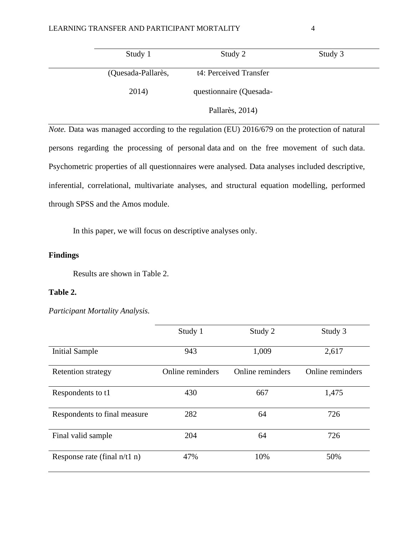| Study 1            | Study 2                 | Study 3 |
|--------------------|-------------------------|---------|
| (Quesada-Pallarès, | t4: Perceived Transfer  |         |
| 2014)              | questionnaire (Quesada- |         |
|                    | Pallarès, 2014)         |         |

*Note.* Data was managed according to the regulation (EU) 2016/679 on the protection of natural persons regarding the processing of personal data and on the free movement of such data. Psychometric properties of all questionnaires were analysed. Data analyses included descriptive, inferential, correlational, multivariate analyses, and structural equation modelling, performed through SPSS and the Amos module.

In this paper, we will focus on descriptive analyses only.

# **Findings**

Results are shown in Table 2.

## **Table 2.**

*Participant Mortality Analysis.*

|                                | Study 1          | Study 2          | Study 3          |
|--------------------------------|------------------|------------------|------------------|
| <b>Initial Sample</b>          | 943              | 1,009            | 2,617            |
| <b>Retention strategy</b>      | Online reminders | Online reminders | Online reminders |
| Respondents to t1              | 430              | 667              | 1,475            |
| Respondents to final measure   | 282              | 64               | 726              |
| Final valid sample             | 204              | 64               | 726              |
| Response rate (final $n/t1$ n) | 47%              | 10%              | 50%              |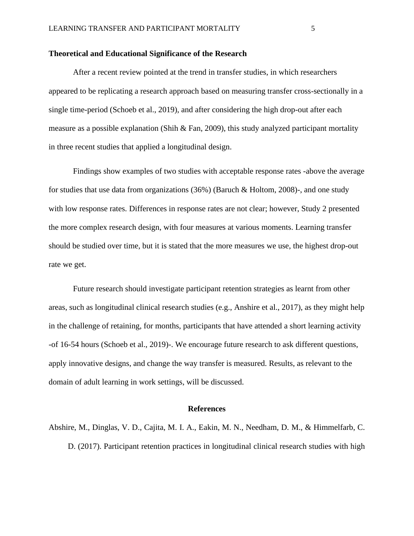### **Theoretical and Educational Significance of the Research**

After a recent review pointed at the trend in transfer studies, in which researchers appeared to be replicating a research approach based on measuring transfer cross-sectionally in a single time-period (Schoeb et al., 2019), and after considering the high drop-out after each measure as a possible explanation (Shih & Fan, 2009), this study analyzed participant mortality in three recent studies that applied a longitudinal design.

Findings show examples of two studies with acceptable response rates -above the average for studies that use data from organizations (36%) (Baruch & Holtom, 2008)-, and one study with low response rates. Differences in response rates are not clear; however, Study 2 presented the more complex research design, with four measures at various moments. Learning transfer should be studied over time, but it is stated that the more measures we use, the highest drop-out rate we get.

Future research should investigate participant retention strategies as learnt from other areas, such as longitudinal clinical research studies (e.g., Anshire et al., 2017), as they might help in the challenge of retaining, for months, participants that have attended a short learning activity -of 16-54 hours (Schoeb et al., 2019)-. We encourage future research to ask different questions, apply innovative designs, and change the way transfer is measured. Results, as relevant to the domain of adult learning in work settings, will be discussed.

#### **References**

Abshire, M., Dinglas, V. D., Cajita, M. I. A., [Eakin,](javascript:;) M. N., Needham, D. M., & Himmelfarb, C. D. (2017). Participant retention practices in longitudinal clinical research studies with high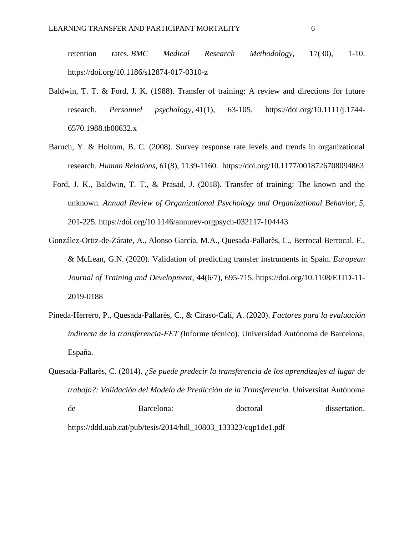retention rates. *BMC Medical Research Methodology,* 17(30), 1-10. <https://doi.org/10.1186/s12874-017-0310-z>

- Baldwin, T. T. & Ford, J. K. (1988). Transfer of training: A review and directions for future research. *Personnel psychology,* 41(1), 63-105. [https://doi.org/10.1111/j.1744-](https://doi.org/10.1111/j.1744-6570.1988.tb00632.x) [6570.1988.tb00632.x](https://doi.org/10.1111/j.1744-6570.1988.tb00632.x)
- Baruch, Y. & Holtom, B. C. (2008). Survey response rate levels and trends in organizational research. *Human Relations, 61*(8), 1139-1160. https://doi.org/10.1177/0018726708094863
- Ford, J. K., Baldwin, T. T., & Prasad, J. (2018). Transfer of training: The known and the unknown. *Annual Review of Organizational Psychology and Organizational Behavior*, *5*, 201-225.<https://doi.org/10.1146/annurev-orgpsych-032117-104443>
- [González-Ortiz-de-Zárate, A.,](https://www.emerald.com/insight/search?q=Aitana%20Gonz%C3%A1lez-Ortiz-de-Z%C3%A1rate) [Alonso García, M.A.,](https://www.emerald.com/insight/search?q=Miguel%20Aurelio%20Alonso%20Garc%C3%ADa) [Quesada-Pallarès, C.,](https://www.emerald.com/insight/search?q=Carla%20Quesada-Pallar%C3%A8s) [Berrocal Berrocal, F.,](https://www.emerald.com/insight/search?q=Francisca%20Berrocal%20Berrocal) & [McLean, G.N.](https://www.emerald.com/insight/search?q=Gary%20N.%20McLean) (2020). Validation of predicting transfer instruments in Spain. *[European](https://www.emerald.com/insight/publication/issn/2046-9012)  [Journal of Training and Development](https://www.emerald.com/insight/publication/issn/2046-9012)*, 44(6/7), 695-715. [https://doi.org/10.1108/EJTD-11-](https://doi.org/10.1108/EJTD-11-2019-0188) [2019-0188](https://doi.org/10.1108/EJTD-11-2019-0188)
- Pineda-Herrero, P., Quesada-Pallarès, C., & Ciraso-Calí, A. (2020). *Factores para la evaluación indirecta de la transferencia-FET (*Informe técnico). Universidad Autónoma de Barcelona, España.
- Quesada-Pallarès, C. (2014). *¿Se puede predecir la transferencia de los aprendizajes al lugar de trabajo?: Validación del Modelo de Predicción de la Transferencia.* Universitat Autònoma de Barcelona: doctoral dissertation. https://ddd.uab.cat/pub/tesis/2014/hdl\_10803\_133323/cqp1de1.pdf